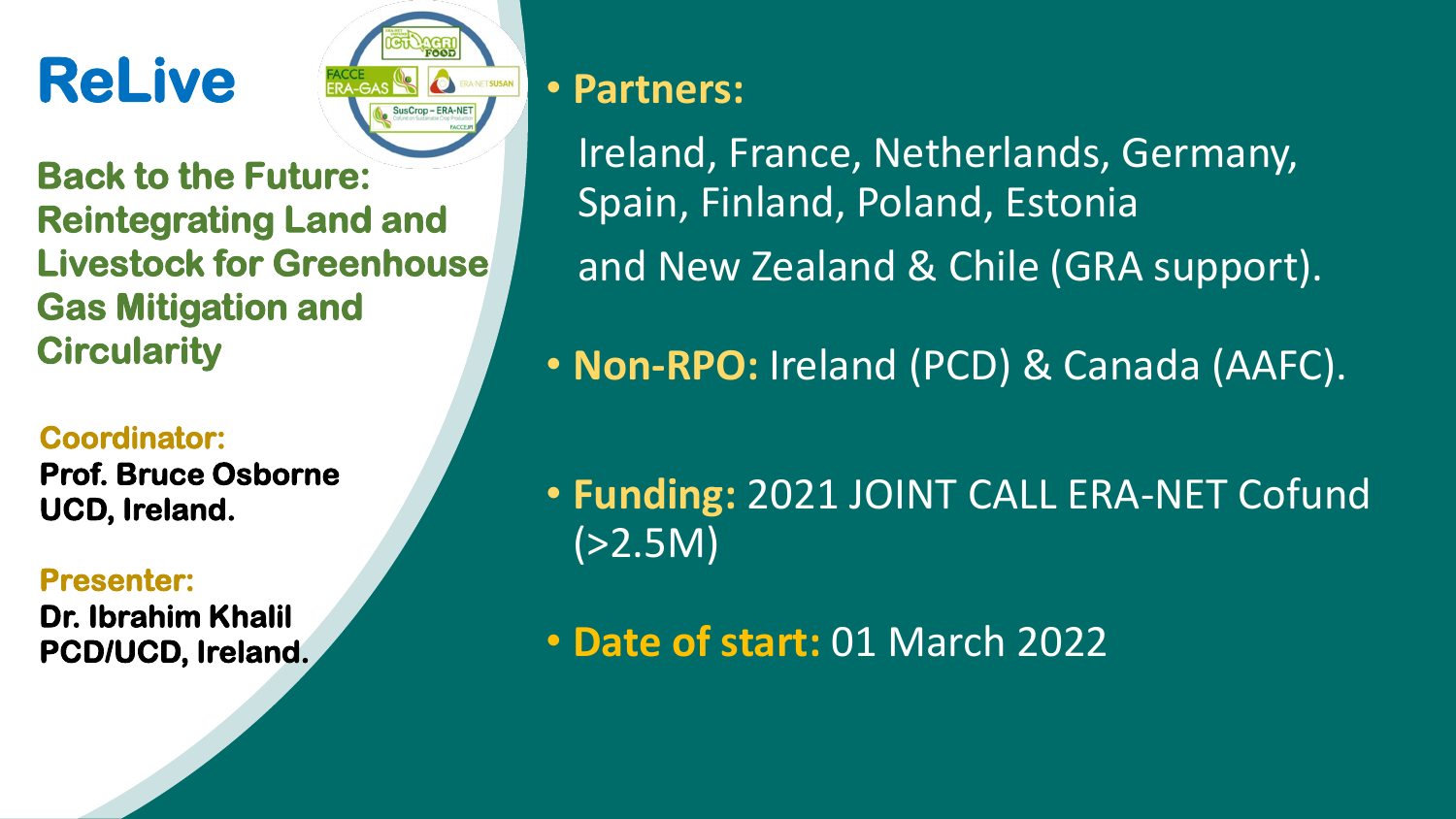# **ReLive**



**Back to the Future: Reintegrating Land and Livestock for Greenhouse Gas Mitigation and Circularity** 

#### **Coordinator:**

**Prof. Bruce Osborne UCD, Ireland.**

#### **Presenter:**

**Dr. Ibrahim Khalil PCD/UCD, Ireland.**

### • **Partners:**

Ireland, France, Netherlands, Germany, Spain, Finland, Poland, Estonia and New Zealand & Chile (GRA support).

- **Non-RPO:** Ireland (PCD) & Canada (AAFC).
- **Funding:** 2021 JOINT CALL ERA-NET Cofund  $( > 2.5M)$
- **Date of start:** 01 March 2022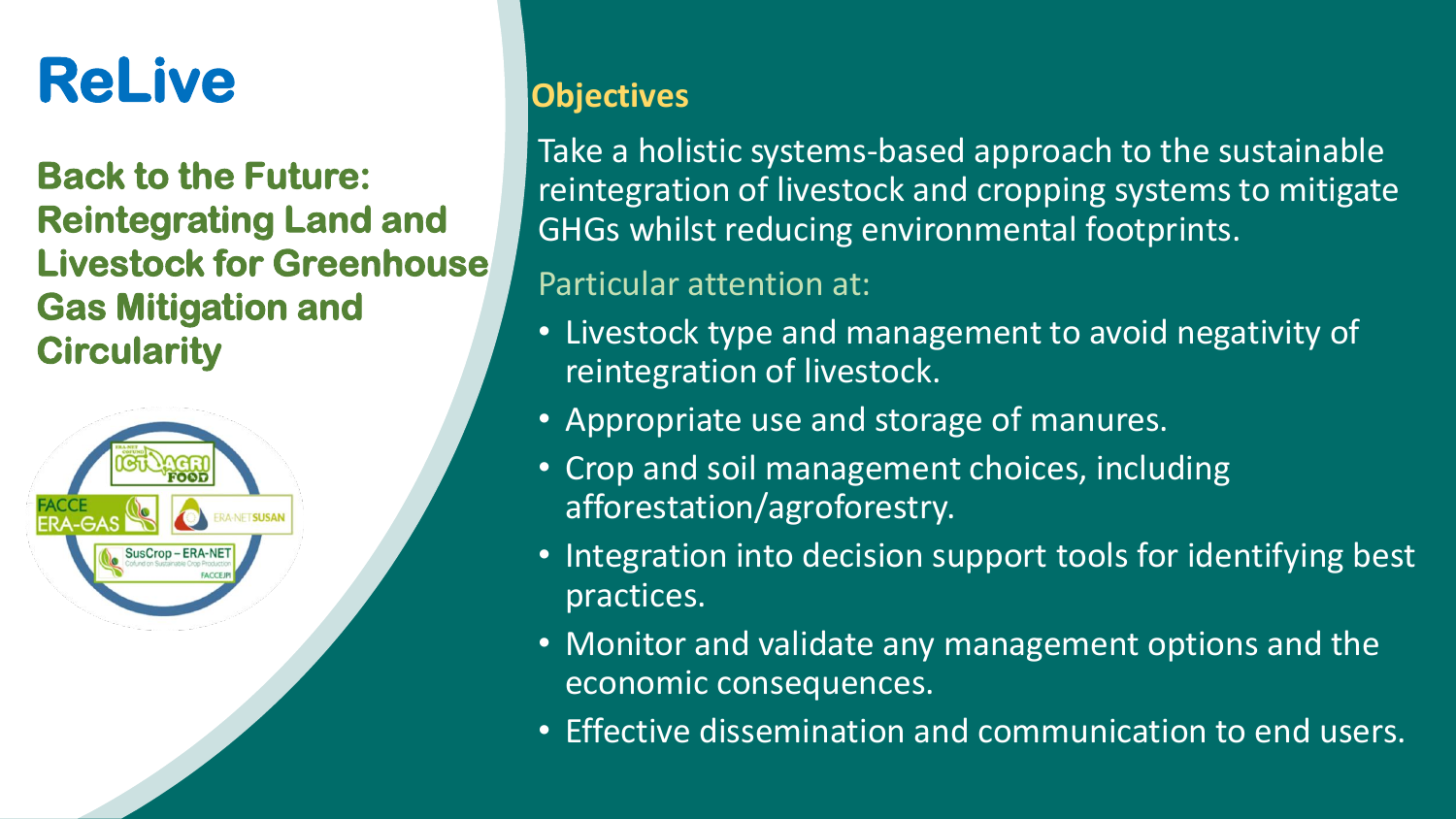## **ReLive**

### **Back to the Future: Reintegrating Land and Livestock for Greenhouse Gas Mitigation and Circularity**



### **Objectives**

Take a holistic systems-based approach to the sustainable reintegration of livestock and cropping systems to mitigate GHGs whilst reducing environmental footprints.

### Particular attention at:

- Livestock type and management to avoid negativity of reintegration of livestock.
- Appropriate use and storage of manures.
- Crop and soil management choices, including afforestation/agroforestry.
- Integration into decision support tools for identifying best practices.
- Monitor and validate any management options and the economic consequences.
- Effective dissemination and communication to end users.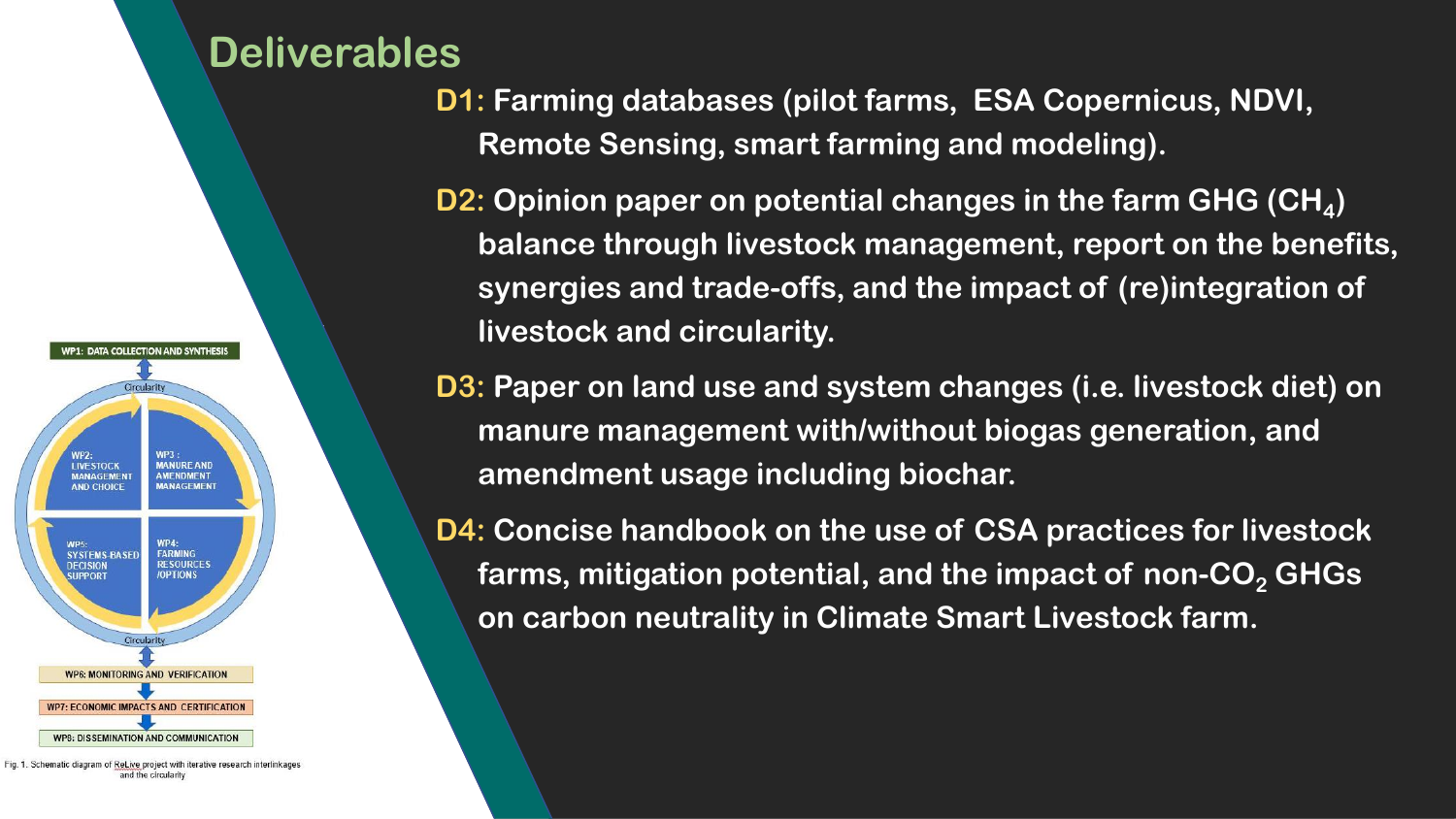## **Deliverables**



Fig. 1. Schematic diagram of ReLive project with iterative research interlinkages and the circularity

- **D1: Farming databases (pilot farms, ESA Copernicus, NDVI, Remote Sensing, smart farming and modeling).**
	- **D2: Opinion paper on potential changes in the farm GHG (CH<sup>4</sup> ) balance through livestock management, report on the benefits, synergies and trade-offs, and the impact of (re)integration of livestock and circularity.**
- **D3: Paper on land use and system changes (i.e. livestock diet) on manure management with/without biogas generation, and amendment usage including biochar.**
- **D4: Concise handbook on the use of CSA practices for livestock farms, mitigation potential, and the impact of non-CO<sup>2</sup> GHGs on carbon neutrality in Climate Smart Livestock farm.**